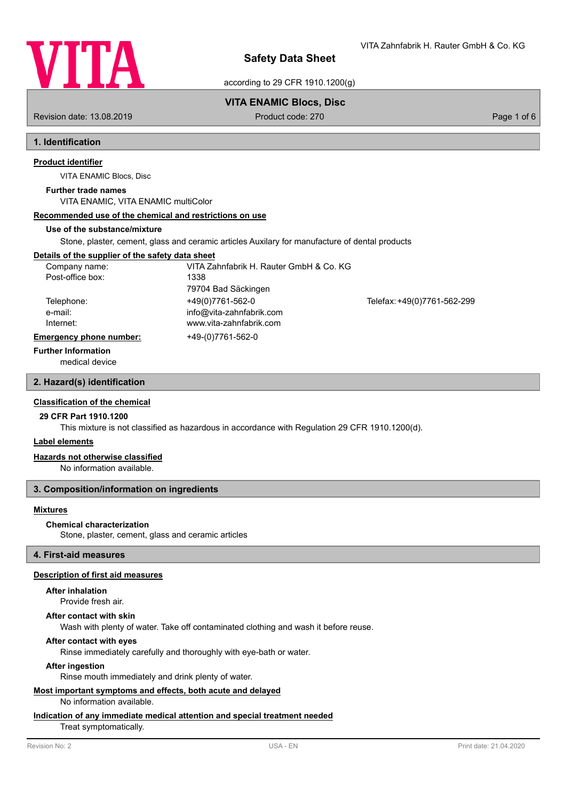

VITA Zahnfabrik H. Rauter GmbH & Co. KG

according to 29 CFR 1910.1200(g)

## **VITA ENAMIC Blocs, Disc**

Revision date: 13.08.2019 **Product code: 270** Product code: 270 **Page 1 of 6** Page 1 of 6

# **1. Identification**

## **Product identifier**

VITA ENAMIC Blocs, Disc

#### **Further trade names**

VITA ENAMIC, VITA ENAMIC multiColor

## **Recommended use of the chemical and restrictions on use**

#### **Use of the substance/mixture**

Stone, plaster, cement, glass and ceramic articles Auxilary for manufacture of dental products

## **Details of the supplier of the safety data sheet**

| Company name:                  | VITA Zahnfabrik H. Rauter GmbH & Co. KG |                             |
|--------------------------------|-----------------------------------------|-----------------------------|
| Post-office box:               | 1338                                    |                             |
|                                | 79704 Bad Säckingen                     |                             |
| Telephone:                     | +49(0)7761-562-0                        | Telefax: +49(0)7761-562-299 |
| e-mail:                        | info@vita-zahnfabrik.com                |                             |
| Internet:                      | www.vita-zahnfabrik.com                 |                             |
| <b>Emergency phone number:</b> | +49-(0)7761-562-0                       |                             |

#### **Further Information**

medical device

## **2. Hazard(s) identification**

## **Classification of the chemical**

#### **29 CFR Part 1910.1200**

This mixture is not classified as hazardous in accordance with Regulation 29 CFR 1910.1200(d).

#### **Label elements**

## **Hazards not otherwise classified**

No information available.

## **3. Composition/information on ingredients**

## **Mixtures**

#### **Chemical characterization**

Stone, plaster, cement, glass and ceramic articles

## **4. First-aid measures**

#### **Description of first aid measures**

## **After inhalation**

Provide fresh air.

## **After contact with skin**

Wash with plenty of water. Take off contaminated clothing and wash it before reuse.

## **After contact with eyes**

Rinse immediately carefully and thoroughly with eye-bath or water.

#### **After ingestion**

Rinse mouth immediately and drink plenty of water.

# **Most important symptoms and effects, both acute and delayed**

No information available.

## **Indication of any immediate medical attention and special treatment needed**

Treat symptomatically.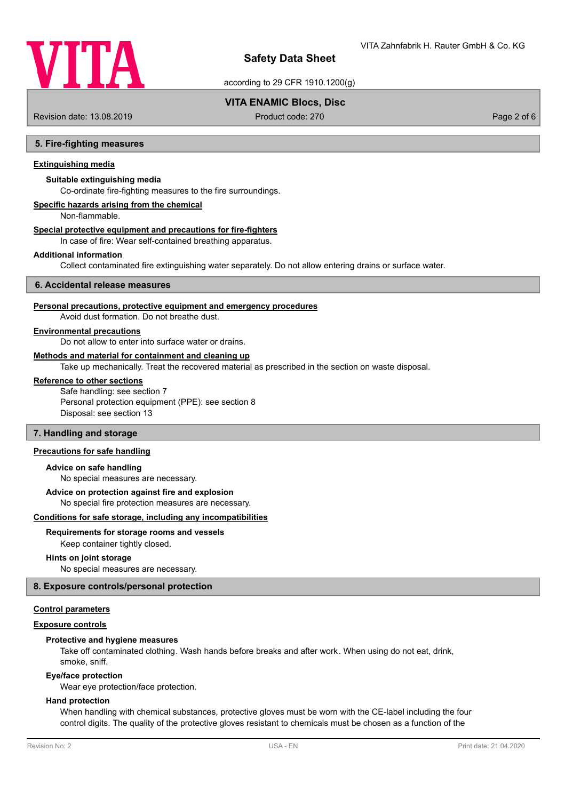

according to 29 CFR 1910.1200(g)

## **VITA ENAMIC Blocs, Disc**

Revision date: 13.08.2019 **Product code: 270** Product code: 270 **Page 2 of 6** Page 2 of 6

## **5. Fire-fighting measures**

## **Extinguishing media**

## **Suitable extinguishing media**

Co-ordinate fire-fighting measures to the fire surroundings.

## **Specific hazards arising from the chemical**

Non-flammable.

#### **Special protective equipment and precautions for fire-fighters**

In case of fire: Wear self-contained breathing apparatus.

#### **Additional information**

Collect contaminated fire extinguishing water separately. Do not allow entering drains or surface water.

## **6. Accidental release measures**

## **Personal precautions, protective equipment and emergency procedures**

Avoid dust formation. Do not breathe dust.

## **Environmental precautions**

Do not allow to enter into surface water or drains.

#### **Methods and material for containment and cleaning up**

Take up mechanically. Treat the recovered material as prescribed in the section on waste disposal.

## **Reference to other sections**

Safe handling: see section 7 Personal protection equipment (PPE): see section 8 Disposal: see section 13

# **7. Handling and storage**

## **Precautions for safe handling**

## **Advice on safe handling**

No special measures are necessary.

## **Advice on protection against fire and explosion**

No special fire protection measures are necessary.

#### **Conditions for safe storage, including any incompatibilities**

#### **Requirements for storage rooms and vessels**

Keep container tightly closed.

#### **Hints on joint storage**

No special measures are necessary.

## **8. Exposure controls/personal protection**

## **Control parameters**

#### **Exposure controls**

## **Protective and hygiene measures**

Take off contaminated clothing. Wash hands before breaks and after work. When using do not eat, drink, smoke, sniff.

#### **Eye/face protection**

Wear eye protection/face protection.

#### **Hand protection**

When handling with chemical substances, protective gloves must be worn with the CE-label including the four control digits. The quality of the protective gloves resistant to chemicals must be chosen as a function of the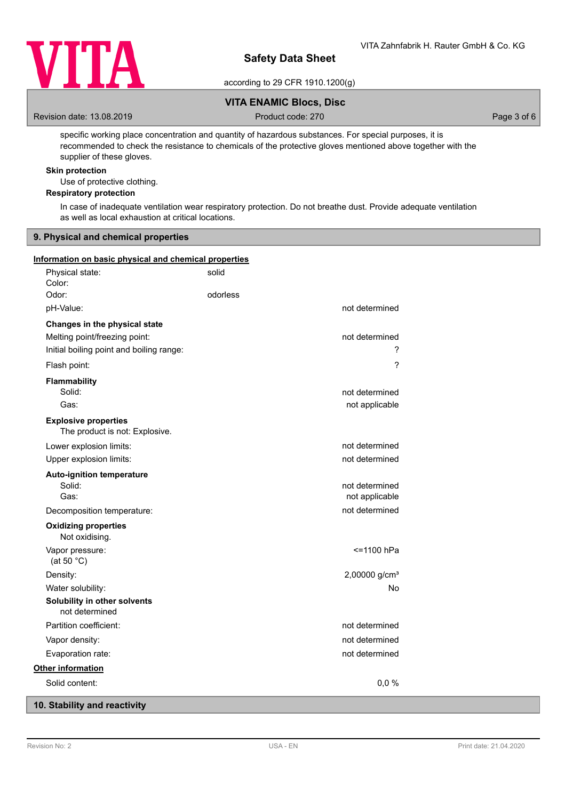

according to 29 CFR 1910.1200(g)

## **VITA ENAMIC Blocs, Disc**

Revision date: 13.08.2019 **Product code: 270** Product code: 270 **Page 3 of 6** Page 3 of 6

specific working place concentration and quantity of hazardous substances. For special purposes, it is recommended to check the resistance to chemicals of the protective gloves mentioned above together with the supplier of these gloves.

## **Skin protection**

Use of protective clothing.

## **Respiratory protection**

In case of inadequate ventilation wear respiratory protection. Do not breathe dust. Provide adequate ventilation as well as local exhaustion at critical locations.

## **9. Physical and chemical properties**

## **Information on basic physical and chemical properties**

| Physical state:<br>Color:                                                                                  | solid    |                                  |
|------------------------------------------------------------------------------------------------------------|----------|----------------------------------|
| Odor:                                                                                                      | odorless |                                  |
| pH-Value:                                                                                                  |          | not determined                   |
| Changes in the physical state<br>Melting point/freezing point:<br>Initial boiling point and boiling range: |          | not determined<br>?              |
| Flash point:                                                                                               |          | ?                                |
| Flammability<br>Solid:<br>Gas:                                                                             |          | not determined<br>not applicable |
| <b>Explosive properties</b><br>The product is not: Explosive.                                              |          |                                  |
| Lower explosion limits:                                                                                    |          | not determined                   |
| Upper explosion limits:                                                                                    |          | not determined                   |
| <b>Auto-ignition temperature</b><br>Solid:<br>Gas:                                                         |          | not determined<br>not applicable |
| Decomposition temperature:                                                                                 |          | not determined                   |
| <b>Oxidizing properties</b><br>Not oxidising.                                                              |          |                                  |
| Vapor pressure:<br>(at 50 $^{\circ}$ C)                                                                    |          | <=1100 hPa                       |
| Density:                                                                                                   |          | 2,00000 g/cm <sup>3</sup>        |
| Water solubility:                                                                                          |          | No                               |
| Solubility in other solvents<br>not determined                                                             |          |                                  |
| Partition coefficient:                                                                                     |          | not determined                   |
| Vapor density:                                                                                             |          | not determined                   |
| Evaporation rate:                                                                                          |          | not determined                   |
| <b>Other information</b>                                                                                   |          |                                  |
| Solid content:                                                                                             |          | 0,0%                             |

# **10. Stability and reactivity**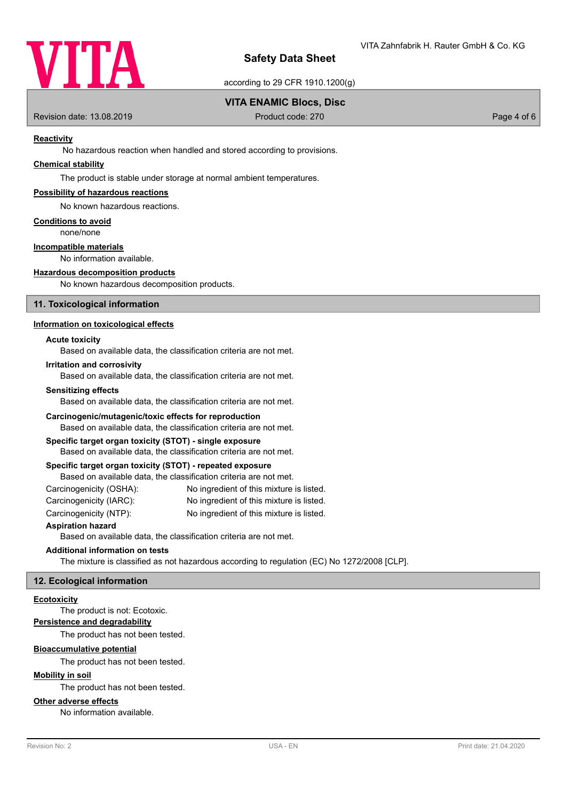

according to 29 CFR 1910.1200(g)

## **VITA ENAMIC Blocs, Disc**

Revision date: 13.08.2019 **Product code: 270** Product code: 270 **Page 4 of 6** Page 4 of 6

## **Reactivity**

No hazardous reaction when handled and stored according to provisions.

## **Chemical stability**

The product is stable under storage at normal ambient temperatures.

## **Possibility of hazardous reactions**

No known hazardous reactions.

#### **Conditions to avoid**

none/none

## **Incompatible materials**

No information available.

## **Hazardous decomposition products**

No known hazardous decomposition products.

## **11. Toxicological information**

## **Information on toxicological effects**

## **Acute toxicity**

Based on available data, the classification criteria are not met.

## **Irritation and corrosivity**

Based on available data, the classification criteria are not met.

## **Sensitizing effects**

Based on available data, the classification criteria are not met.

#### **Carcinogenic/mutagenic/toxic effects for reproduction**

Based on available data, the classification criteria are not met.

## **Specific target organ toxicity (STOT) - single exposure**

Based on available data, the classification criteria are not met.

## **Specific target organ toxicity (STOT) - repeated exposure**

Based on available data, the classification criteria are not met.

| Carcinogenicity (OSHA): | No ingredient of this mixture is listed. |
|-------------------------|------------------------------------------|
| Carcinogenicity (IARC): | No ingredient of this mixture is listed. |
| Carcinogenicity (NTP):  | No ingredient of this mixture is listed. |

## **Aspiration hazard**

Based on available data, the classification criteria are not met.

## **Additional information on tests**

The mixture is classified as not hazardous according to regulation (EC) No 1272/2008 [CLP].

## **12. Ecological information**

## **Ecotoxicity**

The product is not: Ecotoxic.

#### **Persistence and degradability**

The product has not been tested.

## **Bioaccumulative potential**

The product has not been tested.

## **Mobility in soil**

The product has not been tested.

## **Other adverse effects**

No information available.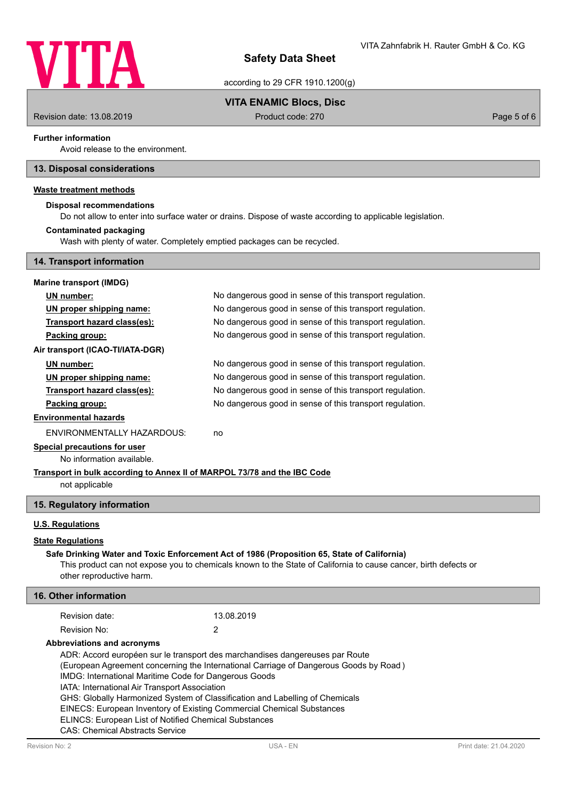

according to 29 CFR 1910.1200(g)

## **VITA ENAMIC Blocs, Disc**

Revision date: 13.08.2019 **Product code: 270** Product code: 270 **Page 5 of 6** Page 5 of 6

## **Further information**

Avoid release to the environment.

## **13. Disposal considerations**

## **Waste treatment methods**

## **Disposal recommendations**

Do not allow to enter into surface water or drains. Dispose of waste according to applicable legislation.

#### **Contaminated packaging**

**14. Transport information**

Wash with plenty of water. Completely emptied packages can be recycled.

| No dangerous good in sense of this transport regulation. |
|----------------------------------------------------------|
| No dangerous good in sense of this transport regulation. |
| No dangerous good in sense of this transport regulation. |
| No dangerous good in sense of this transport regulation. |
|                                                          |
| No dangerous good in sense of this transport regulation. |
| No dangerous good in sense of this transport regulation. |
| No dangerous good in sense of this transport regulation. |
| No dangerous good in sense of this transport regulation. |
|                                                          |
| no                                                       |
|                                                          |

# **Special precautions for user**

No information available.

# **Transport in bulk according to Annex II of MARPOL 73/78 and the IBC Code**

not applicable

## **15. Regulatory information**

## **U.S. Regulations**

## **State Regulations**

## **Safe Drinking Water and Toxic Enforcement Act of 1986 (Proposition 65, State of California)**

This product can not expose you to chemicals known to the State of California to cause cancer, birth defects or other reproductive harm.

## **16. Other information**

| Revision date: | 13.08.2019 |
|----------------|------------|
| Revision No:   |            |

## **Abbreviations and acronyms**

ADR: Accord européen sur le transport des marchandises dangereuses par Route

(European Agreement concerning the International Carriage of Dangerous Goods by Road )

IMDG: International Maritime Code for Dangerous Goods

IATA: International Air Transport Association

GHS: Globally Harmonized System of Classification and Labelling of Chemicals

EINECS: European Inventory of Existing Commercial Chemical Substances

ELINCS: European List of Notified Chemical Substances

CAS: Chemical Abstracts Service